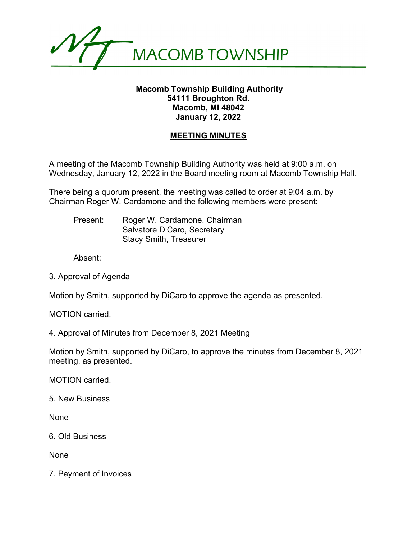

## **Macomb Township Building Authority 54111 Broughton Rd. Macomb, MI 48042 January 12, 2022**

## **MEETING MINUTES**

A meeting of the Macomb Township Building Authority was held at 9:00 a.m. on Wednesday, January 12, 2022 in the Board meeting room at Macomb Township Hall.

There being a quorum present, the meeting was called to order at 9:04 a.m. by Chairman Roger W. Cardamone and the following members were present:

Present: Roger W. Cardamone, Chairman Salvatore DiCaro, Secretary Stacy Smith, Treasurer

Absent:

3. Approval of Agenda

Motion by Smith, supported by DiCaro to approve the agenda as presented.

MOTION carried.

4. Approval of Minutes from December 8, 2021 Meeting

Motion by Smith, supported by DiCaro, to approve the minutes from December 8, 2021 meeting, as presented.

MOTION carried.

5. New Business

None

6. Old Business

None

7. Payment of Invoices